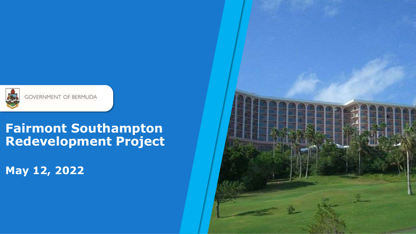

## **Fairmont Southampton Redevelopment Project**

**May 12, 2022**

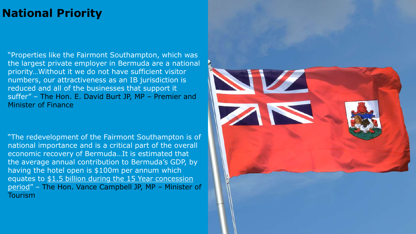## **National Priority**

"Properties like the Fairmont Southampton, which was the largest private employer in Bermuda are a national priority…Without it we do not have sufficient visitor numbers, our attractiveness as an IB jurisdiction is reduced and all of the businesses that support it suffer" – The Hon. E. David Burt JP, MP – Premier and Minister of Finance

"The redevelopment of the Fairmont Southampton is of national importance and is a critical part of the overall economic recovery of Bermuda…It is estimated that the average annual contribution to Bermuda's GDP, by having the hotel open is \$100m per annum which equates to \$1.5 billion during the 15 Year concession period" – The Hon. Vance Campbell JP, MP – Minister of Tourism

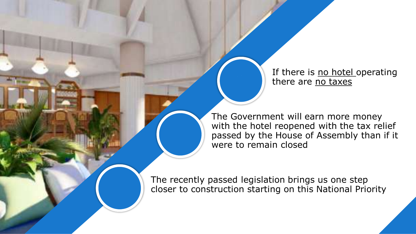If there is no hotel operating there are no taxes

The Government will earn more money with the hotel reopened with the tax relief passed by the House of Assembly than if it were to remain closed

The recently passed legislation brings us one step closer to construction starting on this National Priority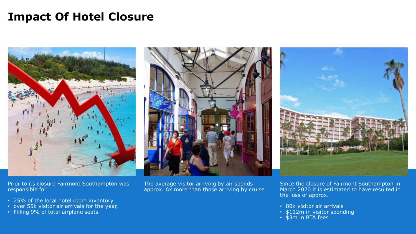## **Impact Of Hotel Closure**



Prior to its closure Fairmont Southampton was responsible for

- 25% of the local hotel room inventory
- over 55k visitor air arrivals for the year,
- Filling 9% of total airplane seats



The average visitor arriving by air spends approx. 6x more than those arriving by cruise



Since the closure of Fairmont Southampton in March 2020 it is estimated to have resulted in the loss of approx.

- 80k visitor air arrivals
- \$112m in visitor spending
- \$3m in BTA fees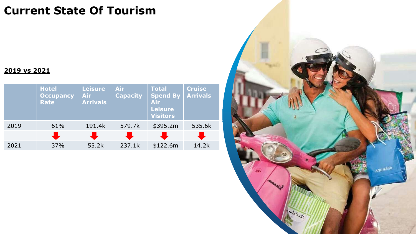## **Current State Of Tourism**

#### **2019 vs 2021**

|      | <b>Hotel</b><br><b>Occupancy</b><br><b>Rate</b> | <b>Leisure</b><br><b>Air</b><br><b>Arrivals</b> | <b>Air</b><br><b>Capacity</b> | <b>Total</b><br><b>Spend By</b><br><b>Air</b><br>Leisure<br><b>Visitors</b> | <b>Cruise</b><br><b>Arrivals</b> |
|------|-------------------------------------------------|-------------------------------------------------|-------------------------------|-----------------------------------------------------------------------------|----------------------------------|
| 2019 | 61%                                             | 191.4k                                          | 579.7k                        | \$395.2m                                                                    | 535.6k                           |
|      |                                                 |                                                 |                               |                                                                             |                                  |
| 2021 | 37%                                             | 55.2k                                           | 237.1k                        | \$122.6m                                                                    | 14.2k                            |

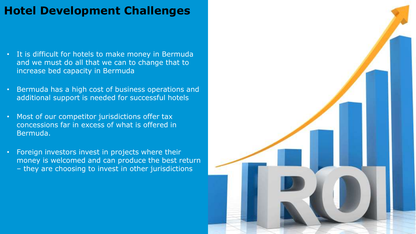## **Hotel Development Challenges**

- It is difficult for hotels to make money in Bermuda and we must do all that we can to change that to increase bed capacity in Bermuda
- Bermuda has a high cost of business operations and additional support is needed for successful hotels
- Most of our competitor jurisdictions offer tax concessions far in excess of what is offered in Bermuda.
- Foreign investors invest in projects where their money is welcomed and can produce the best return – they are choosing to invest in other jurisdictions

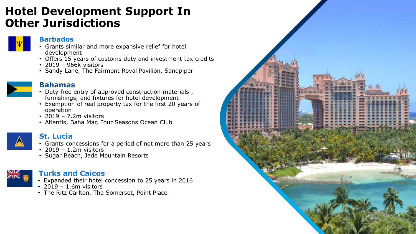#### **Hotel Development Support In Other Jurisdictions**



#### **Barbados**

- Grants similar and more expansive relief for hotel development
- Offers 15 years of customs duty and investment tax credits
- 2019 966k visitors
- Sandy Lane, The Fairmont Royal Pavilion, Sandpiper



#### **Bahamas**

- Duty free entry of approved construction materials , furnishings, and fixtures for hotel development
- Exemption of real property tax for the first 20 years of operation
- 2019 7.2m visitors
- Atlantis, Baha Mar, Four Seasons Ocean Club



#### **St. Lucia**

- Grants concessions for a period of not more than 25 years
- 2019 1.2m visitors
- Sugar Beach, Jade Mountain Resorts



#### **Turks and Caicos**

- Expanded their hotel concession to 25 years in 2016
- 2019 1.6m visitors
- The Ritz Carlton, The Somerset, Point Place

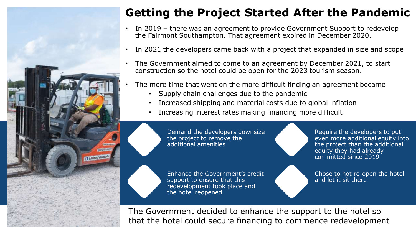

## **Getting the Project Started After the Pandemic**

- In 2019 there was an agreement to provide Government Support to redevelop the Fairmont Southampton. That agreement expired in December 2020.
- In 2021 the developers came back with a project that expanded in size and scope
- The Government aimed to come to an agreement by December 2021, to start construction so the hotel could be open for the 2023 tourism season.
- The more time that went on the more difficult finding an agreement became
	- Supply chain challenges due to the pandemic
	- Increased shipping and material costs due to global inflation
	- Increasing interest rates making financing more difficult

Demand the developers downsize the project to remove the additional amenities

Enhance the Government's credit support to ensure that this redevelopment took place and the hotel reopened

Require the developers to put even more additional equity into the project than the additional equity they had already committed since 2019

Chose to not re-open the hotel and let it sit there

The Government decided to enhance the support to the hotel so that the hotel could secure financing to commence redevelopment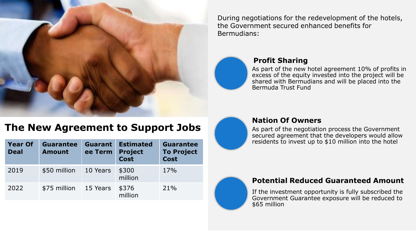

During negotiations for the redevelopment of the hotels, the Government secured enhanced benefits for Bermudians:



#### **Profit Sharing**

As part of the new hotel agreement 10% of profits in excess of the equity invested into the project will be shared with Bermudians and will be placed into the Bermuda Trust Fund

#### **The New Agreement to Support Jobs**

| <b>Year Of</b><br><b>Deal</b> | <b>Guarantee</b><br><b>Amount</b> | Guarant<br>ee Term | <b>Estimated</b><br><b>Project</b><br><b>Cost</b> | <b>Guarantee</b><br><b>To Project</b><br><b>Cost</b> |
|-------------------------------|-----------------------------------|--------------------|---------------------------------------------------|------------------------------------------------------|
| 2019                          | \$50 million                      | 10 Years           | \$300<br>million                                  | 17%                                                  |
| 2022                          | \$75 million                      | 15 Years           | \$376<br>million                                  | 21%                                                  |



#### **Nation Of Owners**

As part of the negotiation process the Government secured agreement that the developers would allow residents to invest up to \$10 million into the hotel

#### **Potential Reduced Guaranteed Amount**

If the investment opportunity is fully subscribed the Government Guarantee exposure will be reduced to \$65 million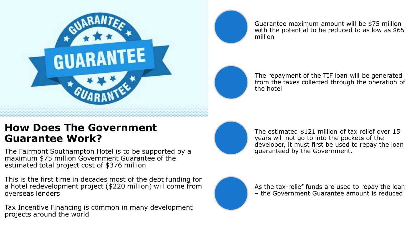

Guarantee maximum amount will be \$75 million with the potential to be reduced to as low as \$65 million

The repayment of the TIF loan will be generated from the taxes collected through the operation of the hotel

#### **How Does The Government Guarantee Work?**

The Fairmont Southampton Hotel is to be supported by a maximum \$75 million Government Guarantee of the estimated total project cost of \$376 million

This is the first time in decades most of the debt funding for a hotel redevelopment project (\$220 million) will come from overseas lenders

Tax Incentive Financing is common in many development projects around the world



The estimated \$121 million of tax relief over 15 years will not go to into the pockets of the developer, it must first be used to repay the loan guaranteed by the Government.



As the tax-relief funds are used to repay the loan – the Government Guarantee amount is reduced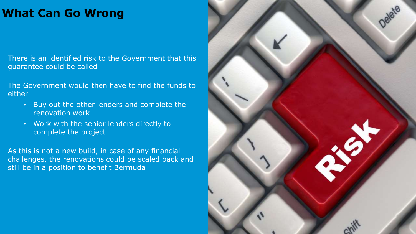## **What Can Go Wrong**

There is an identified risk to the Government that this guarantee could be called

The Government would then have to find the funds to either

- Buy out the other lenders and complete the renovation work
- Work with the senior lenders directly to complete the project

As this is not a new build, in case of any financial challenges, the renovations could be scaled back and still be in a position to benefit Bermuda

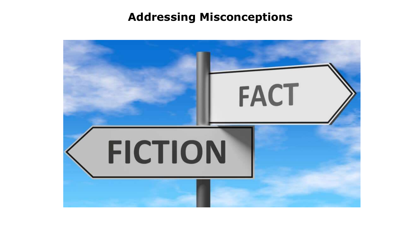#### **Addressing Misconceptions**

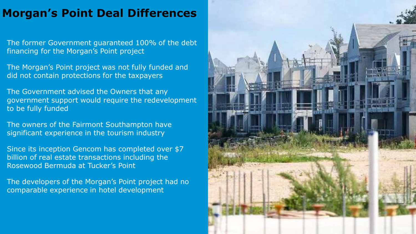## **Morgan's Point Deal Differences**

The former Government guaranteed 100% of the debt financing for the Morgan's Point project

The Morgan's Point project was not fully funded and did not contain protections for the taxpayers

The Government advised the Owners that any government support would require the redevelopment to be fully funded

The owners of the Fairmont Southampton have significant experience in the tourism industry

Since its inception Gencom has completed over \$7 billion of real estate transactions including the Rosewood Bermuda at Tucker's Point

The developers of the Morgan's Point project had no comparable experience in hotel development

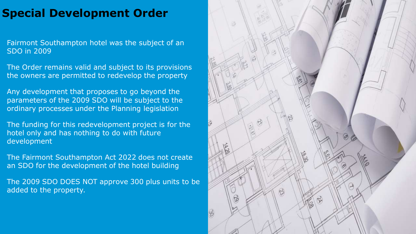## **Special Development Order**

Fairmont Southampton hotel was the subject of an SDO in 2009

The Order remains valid and subject to its provisions the owners are permitted to redevelop the property

Any development that proposes to go beyond the parameters of the 2009 SDO will be subject to the ordinary processes under the Planning legislation

The funding for this redevelopment project is for the hotel only and has nothing to do with future development

The Fairmont Southampton Act 2022 does not create an SDO for the development of the hotel building

The 2009 SDO DOES NOT approve 300 plus units to be added to the property.

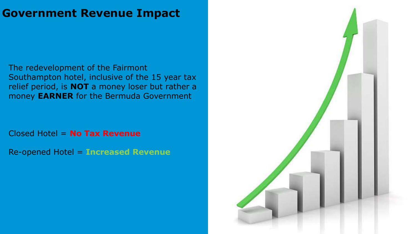#### **Government Revenue Impact**

The redevelopment of the Fairmont Southampton hotel, inclusive of the 15 year tax relief period, is **NOT** a money loser but rather a money **EARNER** for the Bermuda Government

Closed Hotel = **No Tax Revenue**

Re-opened Hotel = **Increased Revenue**

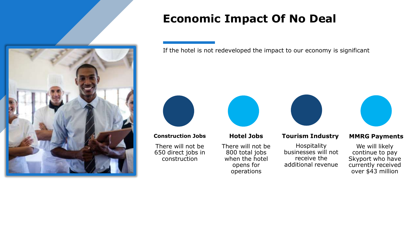

## **Economic Impact Of No Deal**

If the hotel is not redeveloped the impact to our economy is significant



#### **Construction Jobs**

There will not be 650 direct jobs in construction



**Hotel Jobs**

There will not be 800 total jobs when the hotel opens for operations

#### **Tourism Industry**

Hospitality businesses will not receive the additional revenue



#### **MMRG Payments**

We will likely continue to pay Skyport who have currently received over \$43 million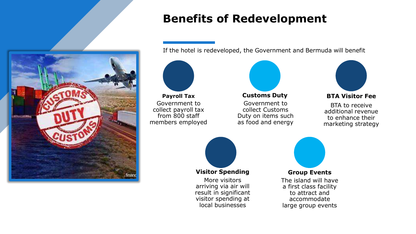

## **Benefits of Redevelopment**

If the hotel is redeveloped, the Government and Bermuda will benefit

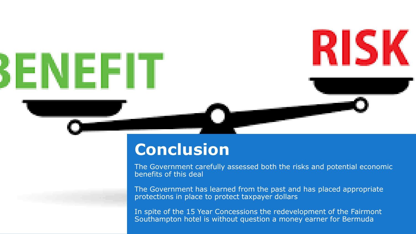

# **Conclusion**

The Government carefully assessed both the risks and potential economic benefits of this deal

The Government has learned from the past and has placed appropriate protections in place to protect taxpayer dollars

In spite of the 15 Year Concessions the redevelopment of the Fairmont Southampton hotel is without question a money earner for Bermuda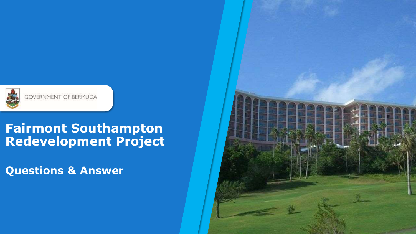

## **Fairmont Southampton Redevelopment Project**

**Questions & Answer**